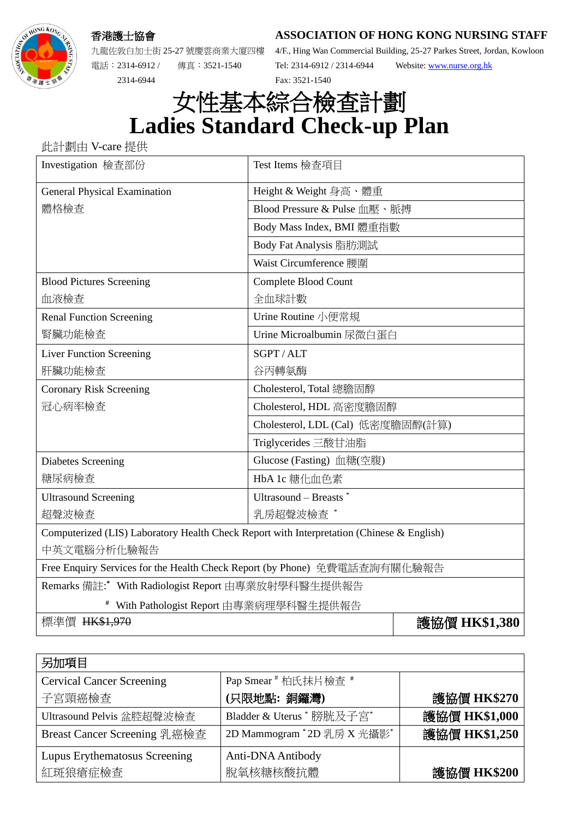香港護士協會

**ASSOCIATION OF HONG KONG NURSING STAFF**



九龍佐敦白加士街 25-27 號慶雲商業大廈四樓 電話︰2314-6912 / 傳真︰3521-1540

2314-6944

4/F., Hing Wan Commercial Building, 25-27 Parkes Street, Jordan, Kowloon Tel: 2314-6912 / 2314-6944 Website[: www.nurse.org.hk](http://www.nurse.org.hk/) Fax: 3521-1540

## 女性基本綜合檢查計劃 **Ladies Standard Check-up Plan**

此計劃由 V-care 提供

| Investigation 檢查部份                                                                        | Test Items 檢查項目                   |  |
|-------------------------------------------------------------------------------------------|-----------------------------------|--|
| <b>General Physical Examination</b>                                                       | Height & Weight 身高、體重             |  |
| 體格檢查                                                                                      | Blood Pressure & Pulse 血壓、脈搏      |  |
|                                                                                           | Body Mass Index, BMI 體重指數         |  |
|                                                                                           | Body Fat Analysis 脂肪測試            |  |
|                                                                                           | Waist Circumference 腰圍            |  |
| <b>Blood Pictures Screening</b>                                                           | Complete Blood Count              |  |
| 血液檢查                                                                                      | 全血球計數                             |  |
| <b>Renal Function Screening</b>                                                           | Urine Routine 小便常規                |  |
| 腎臟功能檢查                                                                                    | Urine Microalbumin 尿微白蛋白          |  |
| <b>Liver Function Screening</b>                                                           | SGPT/ALT                          |  |
| 肝臟功能檢查                                                                                    | 谷丙轉氨酶                             |  |
| <b>Coronary Risk Screening</b>                                                            | Cholesterol, Total 總膽固醇           |  |
| 冠心病率檢查                                                                                    | Cholesterol, HDL 高密度膽固醇           |  |
|                                                                                           | Cholesterol, LDL (Cal) 低密度膽固醇(計算) |  |
|                                                                                           | Triglycerides 三酸甘油脂               |  |
| Diabetes Screening                                                                        | Glucose (Fasting) 血糖(空腹)          |  |
| 糖尿病檢查                                                                                     | HbA 1c 糖化血色素                      |  |
| <b>Ultrasound Screening</b>                                                               | Ultrasound – Breasts $*$          |  |
| 超聲波檢查                                                                                     | 乳房超聲波檢查 *                         |  |
| Computerized (LIS) Laboratory Health Check Report with Interpretation (Chinese & English) |                                   |  |
| 中英文電腦分析化驗報告                                                                               |                                   |  |
| Free Enquiry Services for the Health Check Report (by Phone) 免費電話查詢有關化驗報告                 |                                   |  |
| Remarks 備註:* With Radiologist Report 由專業放射學科醫生提供報告                                        |                                   |  |
| With Pathologist Report 由專業病理學科醫生提供報告                                                     |                                   |  |
| 標準價 HK\$1,970                                                                             | 護協價 HK\$1,380                     |  |

| 另加項目                             |                            |               |
|----------------------------------|----------------------------|---------------|
| <b>Cervical Cancer Screening</b> | Pap Smear # 柏氏抹片檢查 #       |               |
| 子宮頸癌檢查                           | (只限地點:銅鑼灣)                 | 護協價 HK\$270   |
| Ultrasound Pelvis 盆腔超聲波檢查        | Bladder & Uterus * 膀胱及子宫*  | 護協價 HK\$1,000 |
| Breast Cancer Screening 乳癌檢查     | 2D Mammogram *2D 乳房 X 光攝影* | 護協價 HK\$1,250 |
| Lupus Erythematosus Screening    | Anti-DNA Antibody          |               |
| 紅斑狼瘡症檢查                          | 脫氧核糖核酸抗體                   | 護協價 HK\$200   |